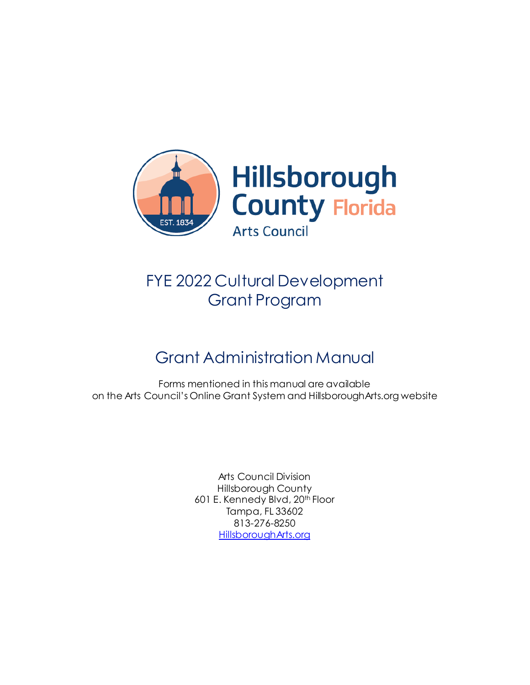

# FYE 2022 Cultural Development Grant Program

# Grant Administration Manual

Forms mentioned in this manual are available on the Arts Council's Online Grant System and HillsboroughArts.org website

> Arts Council Division Hillsborough County 601 E. Kennedy Blvd, 20th Floor Tampa, FL 33602 813-276-8250 [HillsboroughArts.org](https://hillsborougharts.org/)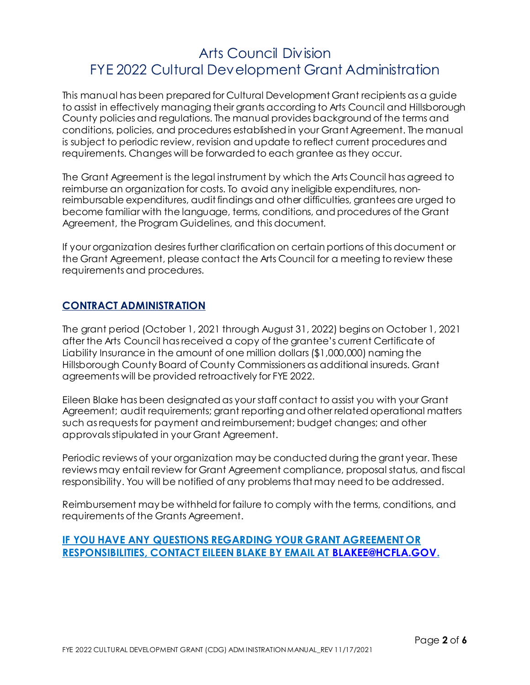# Arts Council Division FYE 2022 Cultural Development Grant Administration

This manual has been prepared for Cultural Development Grant recipients as a guide to assist in effectively managing their grants according to Arts Council and Hillsborough County policies and regulations. The manual provides background of the terms and conditions, policies, and procedures established in your Grant Agreement. The manual is subject to periodic review, revision and update to reflect current procedures and requirements. Changes will be forwarded to each grantee as they occur.

The Grant Agreement is the legal instrument by which the Arts Council has agreed to reimburse an organization for costs. To avoid any ineligible expenditures, nonreimbursable expenditures, audit findings and other difficulties, grantees are urged to become familiar with the language, terms, conditions, and procedures of the Grant Agreement, the Program Guidelines, and this document.

If your organization desires further clarification on certain portions of this document or the Grant Agreement, please contact the Arts Council for a meeting to review these requirements and procedures.

### **CONTRACT ADMINISTRATION**

The grant period (October 1, 2021 through August 31, 2022) begins on October 1, 2021 after the Arts Council has received a copy of the grantee's current Certificate of Liability Insurance in the amount of one million dollars (\$1,000,000) naming the Hillsborough County Board of County Commissioners as additional insureds. Grant agreements will be provided retroactively for FYE 2022.

Eileen Blake has been designated as your staff contact to assist you with your Grant Agreement; audit requirements; grant reporting and other related operational matters such as requests for payment and reimbursement; budget changes; and other approvals stipulated in your Grant Agreement.

Periodic reviews of your organization may be conducted during the grant year. These reviews may entail review for Grant Agreement compliance, proposal status, and fiscal responsibility. You will be notified of any problems that may need to be addressed.

Reimbursement may be withheld for failure to comply with the terms, conditions, and requirements of the Grants Agreement.

#### **IF YOU HAVE ANY QUESTIONS REGARDING YOUR GRANT AGREEMENT OR RESPONSIBILITIES, CONTACT EILEEN BLAKE BY EMAIL AT [BLAKEE@HCFLA.GOV.](mailto:BlakeE@HCFLA.gov)**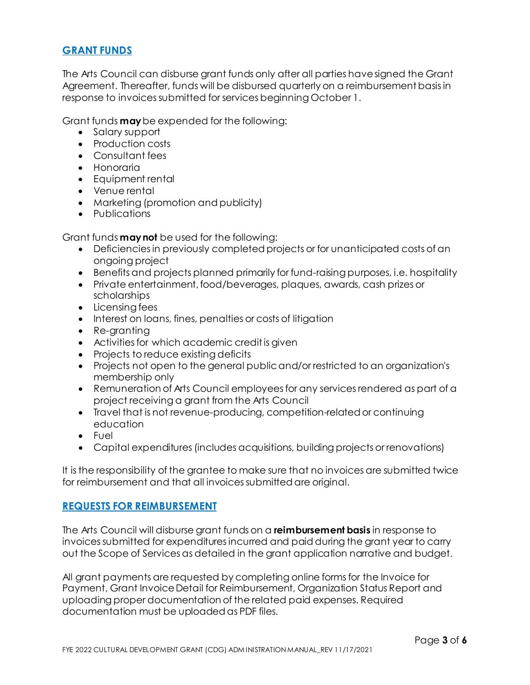#### **GRANT FUNDS**

The Arts Council can disburse grant funds only after all parties have signed the Grant Agreement. Thereafter, funds will be disbursed quarterly on a reimbursement basis in response to invoices submitted for services beginning October 1.

Grant funds **may** be expended for the following:

- Salary support
- Production costs
- Consultant fees
- Honoraria
- Equipment rental
- Venue rental
- Marketing (promotion and publicity)
- Publications

Grant funds **may not** be used for the following:

- Deficiencies in previously completed projects or for unanticipated costs of an ongoing project
- Benefits and projects planned primarily for fund-raising purposes, i.e. hospitality
- Private entertainment, food/beverages, plaques, awards, cash prizes or scholarships
- Licensing fees
- Interest on loans, fines, penalties or costs of litigation
- Re-granting
- Activities for which academic credit is given
- Projects to reduce existing deficits
- Projects not open to the general public and/or restricted to an organization's membership only
- Remuneration of Arts Council employees for any services rendered as part of a project receiving a grant from the Arts Council
- Travel that is not revenue-producing, competition-related or continuing education
- Fuel
- Capital expenditures (includes acquisitions, building projects or renovations)

It is the responsibility of the grantee to make sure that no invoices are submitted twice for reimbursement and that all invoices submitted are original.

### **REQUESTS FOR REIMBURSEMENT**

The Arts Council will disburse grant funds on a **reimbursement basis** in response to invoices submitted for expendituresincurred and paid during the grant year to carry out the Scope of Services as detailed in the grant application narrative and budget.

All grant payments are requested by completing online forms for the Invoice for Payment, Grant Invoice Detail for Reimbursement, Organization Status Report and uploading proper documentation of the related paid expenses. Required documentation must be uploaded as PDF files.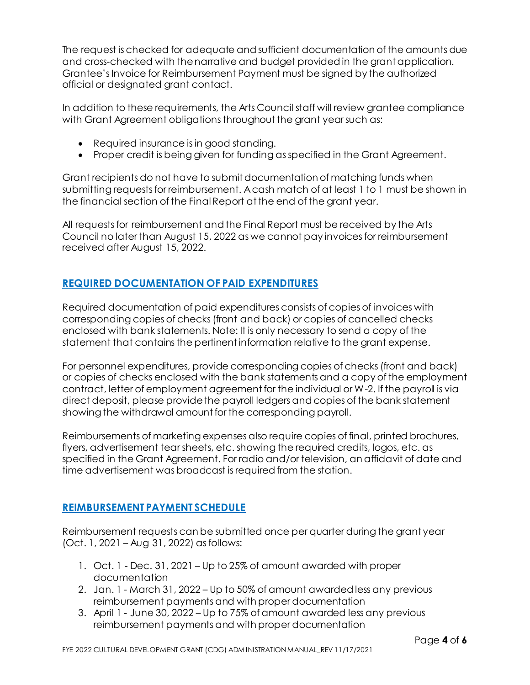The request is checked for adequate and sufficient documentation of the amounts due and cross-checked with thenarrative and budget provided in the grant application. Grantee's Invoice for Reimbursement Payment must be signed by the authorized official or designated grant contact.

In addition to these requirements, the Arts Council staff will review grantee compliance with Grant Agreement obligations throughout the grant year such as:

- Required insurance is in good standing.
- Proper credit is being given for funding as specified in the Grant Agreement.

Grant recipients do not have to submit documentation of matching funds when submitting requests for reimbursement. A cash match of at least 1 to 1 must be shown in the financial section of the Final Report at the end of the grant year.

All requests for reimbursement and the Final Report must be received by the Arts Council no later than August 15, 2022 as we cannot pay invoices for reimbursement received after August 15, 2022.

# **REQUIRED DOCUMENTATION OF PAID EXPENDITURES**

Required documentation of paid expenditures consists of copies of invoices with corresponding copies of checks (front and back) or copies of cancelled checks enclosed with bank statements. Note: It is only necessary to send a copy of the statement that contains the pertinent information relative to the grant expense.

For personnel expenditures, provide corresponding copies of checks (front and back) or copies of checks enclosed with the bank statements and a copy of the employment contract, letter of employment agreement for the individual or W-2. If the payroll is via direct deposit, please provide the payroll ledgers and copies of the bank statement showing the withdrawal amount for the corresponding payroll.

Reimbursements of marketing expenses also require copies of final, printed brochures, flyers, advertisement tear sheets, etc. showing the required credits, logos, etc. as specified in the Grant Agreement. For radio and/or television, an affidavit of date and time advertisement was broadcast is required from the station.

### **REIMBURSEMENT PAYMENT SCHEDULE**

Reimbursement requests can be submitted once per quarter during the grant year (Oct. 1, 2021 – Aug 31, 2022) as follows:

- 1. Oct. 1 Dec. 31, 2021 Up to 25% of amount awarded with proper documentation
- 2. Jan. 1 March 31, 2022 Up to 50% of amount awarded less any previous reimbursement payments and with proper documentation
- 3. April 1 June 30, 2022 Up to 75% of amount awarded less any previous reimbursement payments and with proper documentation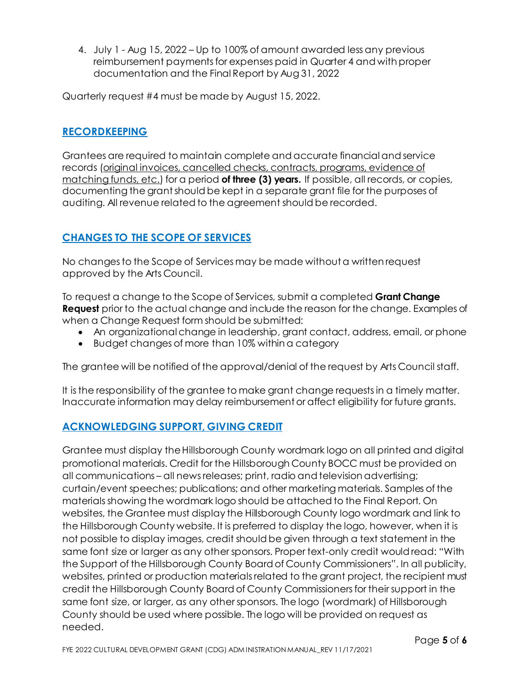4. July 1 - Aug 15, 2022 – Up to 100% of amount awarded less any previous reimbursement payments for expenses paid in Quarter 4 and with proper documentation and the Final Report by Aug 31, 2022

Quarterly request #4 must be made by August 15, 2022.

## **RECORDKEEPING**

Grantees are required to maintain complete and accurate financialand service records (original invoices, cancelled checks, contracts, programs, evidence of matching funds, etc.) for a period **of three (3) years.** If possible, all records, or copies, documenting the grant should be kept in a separate grant file for the purposes of auditing. All revenue related to the agreement should be recorded.

# **CHANGES TO THE SCOPE OF SERVICES**

No changes to the Scope of Services may be made without a written request approved by the Arts Council.

To request a change to the Scope of Services, submit a completed **Grant Change Request** prior to the actual change and include the reason for the change. Examples of when a Change Request form should be submitted:

- An organizational change in leadership, grant contact, address, email, or phone
- Budget changes of more than 10% within a category

The grantee will be notified of the approval/denial of the request by Arts Council staff.

It is the responsibility of the grantee to make grant change requests in a timely matter. Inaccurate information may delay reimbursement or affect eligibility for future grants.

#### **ACKNOWLEDGING SUPPORT, GIVING CREDIT**

Grantee must display the Hillsborough County wordmark logo on all printed and digital promotional materials. Credit for the Hillsborough County BOCC must be provided on all communications – all news releases; print, radio and television advertising; curtain/event speeches; publications; and other marketing materials. Samples of the materials showing the wordmark logo should be attached to the Final Report. On websites, the Grantee must display the Hillsborough County logo wordmark and link to the Hillsborough County website. It is preferred to display the logo, however, when it is not possible to display images, credit should be given through a text statement in the same font size or larger as any other sponsors. Proper text-only credit would read: "With the Support of the Hillsborough County Board of County Commissioners". In all publicity, websites, printed or production materials related to the grant project, the recipient must credit the Hillsborough County Board of County Commissioners for their support in the same font size, or larger, as any other sponsors. The logo (wordmark) of Hillsborough County should be used where possible. The logo will be provided on request as needed.